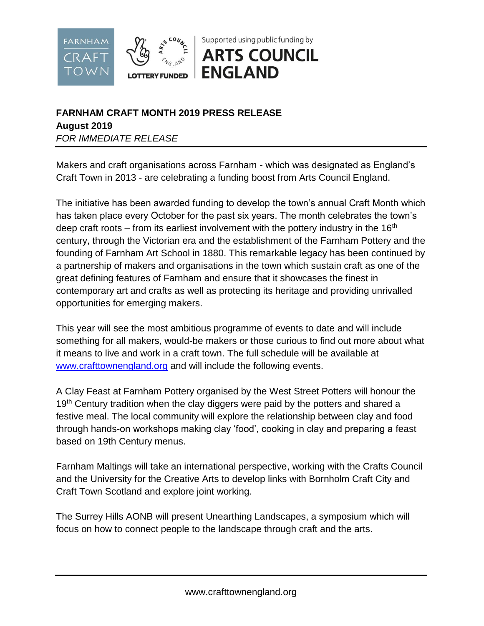

## **FARNHAM CRAFT MONTH 2019 PRESS RELEASE**

**August 2019**

*FOR IMMEDIATE RELEASE* 

Makers and craft organisations across Farnham - which was designated as England's Craft Town in 2013 - are celebrating a funding boost from Arts Council England.

The initiative has been awarded funding to develop the town's annual Craft Month which has taken place every October for the past six years. The month celebrates the town's deep craft roots – from its earliest involvement with the pottery industry in the  $16<sup>th</sup>$ century, through the Victorian era and the establishment of the Farnham Pottery and the founding of Farnham Art School in 1880. This remarkable legacy has been continued by a partnership of makers and organisations in the town which sustain craft as one of the great defining features of Farnham and ensure that it showcases the finest in contemporary art and crafts as well as protecting its heritage and providing unrivalled opportunities for emerging makers.

This year will see the most ambitious programme of events to date and will include something for all makers, would-be makers or those curious to find out more about what it means to live and work in a craft town. The full schedule will be available at [www.crafttownengland.org](http://www.crafttownengland.org/) and will include the following events.

A Clay Feast at Farnham Pottery organised by the West Street Potters will honour the 19<sup>th</sup> Century tradition when the clay diggers were paid by the potters and shared a festive meal. The local community will explore the relationship between clay and food through hands-on workshops making clay 'food', cooking in clay and preparing a feast based on 19th Century menus.

Farnham Maltings will take an international perspective, working with the Crafts Council and the University for the Creative Arts to develop links with Bornholm Craft City and Craft Town Scotland and explore joint working.

The Surrey Hills AONB will present Unearthing Landscapes, a symposium which will focus on how to connect people to the landscape through craft and the arts.